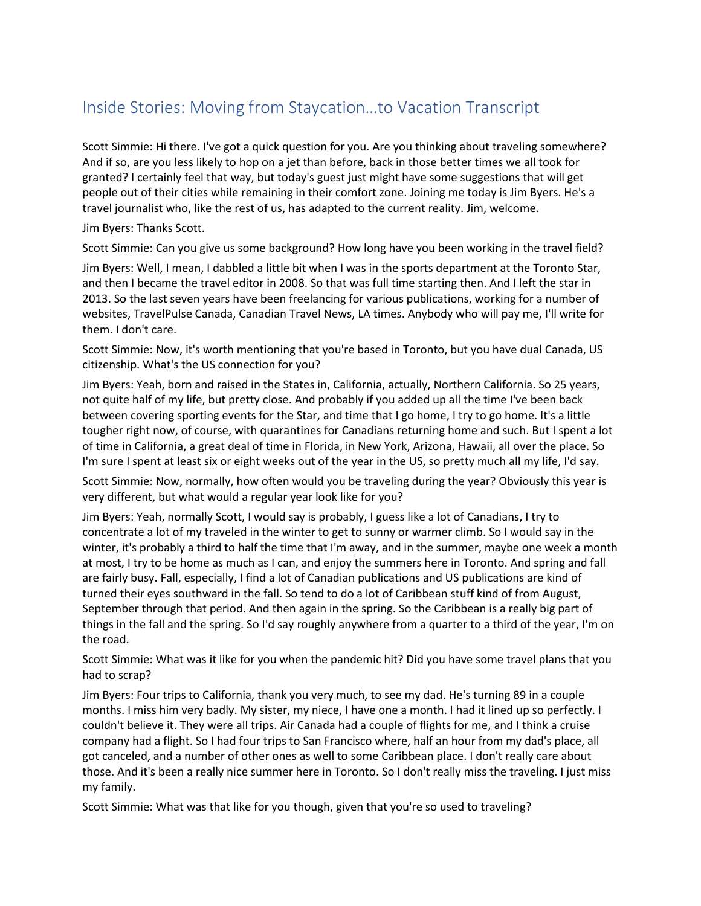## Inside Stories: Moving from Staycation…to Vacation Transcript

 And if so, are you less likely to hop on a jet than before, back in those better times we all took for Scott Simmie: Hi there. I've got a quick question for you. Are you thinking about traveling somewhere? granted? I certainly feel that way, but today's guest just might have some suggestions that will get people out of their cities while remaining in their comfort zone. Joining me today is Jim Byers. He's a travel journalist who, like the rest of us, has adapted to the current reality. Jim, welcome.

Jim Byers: Thanks Scott.

Scott Simmie: Can you give us some background? How long have you been working in the travel field?

 and then I became the travel editor in 2008. So that was full time starting then. And I left the star in websites, TravelPulse Canada, Canadian Travel News, LA times. Anybody who will pay me, I'll write for Jim Byers: Well, I mean, I dabbled a little bit when I was in the sports department at the Toronto Star, 2013. So the last seven years have been freelancing for various publications, working for a number of them. I don't care.

Scott Simmie: Now, it's worth mentioning that you're based in Toronto, but you have dual Canada, US citizenship. What's the US connection for you?

Jim Byers: Yeah, born and raised in the States in, California, actually, Northern California. So 25 years, not quite half of my life, but pretty close. And probably if you added up all the time I've been back between covering sporting events for the Star, and time that I go home, I try to go home. It's a little tougher right now, of course, with quarantines for Canadians returning home and such. But I spent a lot of time in California, a great deal of time in Florida, in New York, Arizona, Hawaii, all over the place. So I'm sure I spent at least six or eight weeks out of the year in the US, so pretty much all my life, I'd say.

Scott Simmie: Now, normally, how often would you be traveling during the year? Obviously this year is very different, but what would a regular year look like for you?

Jim Byers: Yeah, normally Scott, I would say is probably, I guess like a lot of Canadians, I try to concentrate a lot of my traveled in the winter to get to sunny or warmer climb. So I would say in the winter, it's probably a third to half the time that I'm away, and in the summer, maybe one week a month at most, I try to be home as much as I can, and enjoy the summers here in Toronto. And spring and fall are fairly busy. Fall, especially, I find a lot of Canadian publications and US publications are kind of turned their eyes southward in the fall. So tend to do a lot of Caribbean stuff kind of from August, September through that period. And then again in the spring. So the Caribbean is a really big part of things in the fall and the spring. So I'd say roughly anywhere from a quarter to a third of the year, I'm on the road.

Scott Simmie: What was it like for you when the pandemic hit? Did you have some travel plans that you had to scrap?

Jim Byers: Four trips to California, thank you very much, to see my dad. He's turning 89 in a couple months. I miss him very badly. My sister, my niece, I have one a month. I had it lined up so perfectly. I couldn't believe it. They were all trips. Air Canada had a couple of flights for me, and I think a cruise company had a flight. So I had four trips to San Francisco where, half an hour from my dad's place, all got canceled, and a number of other ones as well to some Caribbean place. I don't really care about those. And it's been a really nice summer here in Toronto. So I don't really miss the traveling. I just miss my family.

Scott Simmie: What was that like for you though, given that you're so used to traveling?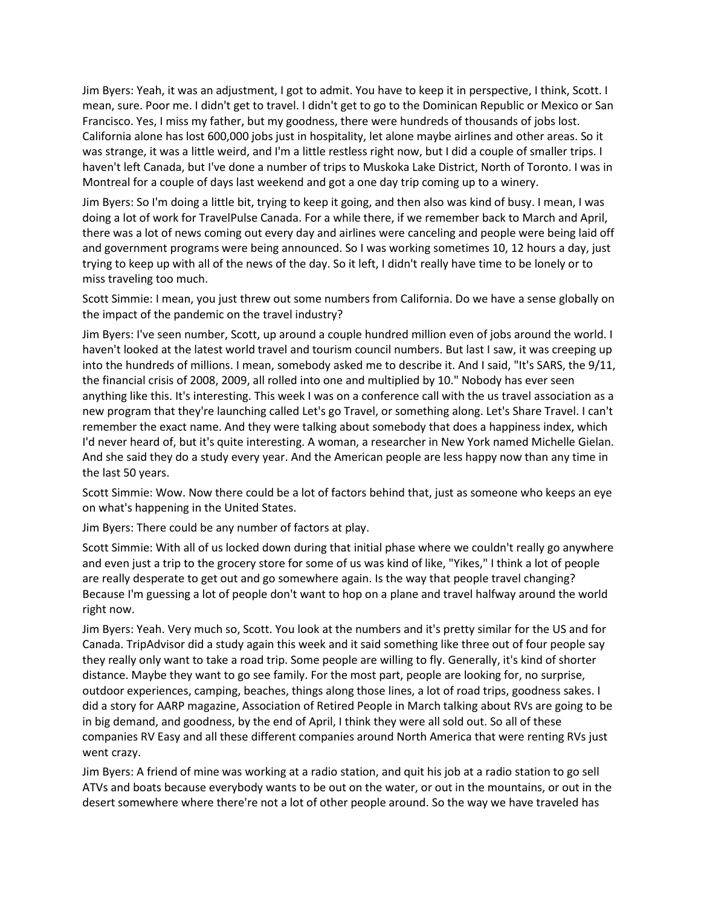mean, sure. Poor me. I didn't get to travel. I didn't get to go to the Dominican Republic or Mexico or San Jim Byers: Yeah, it was an adjustment, I got to admit. You have to keep it in perspective, I think, Scott. I Francisco. Yes, I miss my father, but my goodness, there were hundreds of thousands of jobs lost. California alone has lost 600,000 jobs just in hospitality, let alone maybe airlines and other areas. So it was strange, it was a little weird, and I'm a little restless right now, but I did a couple of smaller trips. I haven't left Canada, but I've done a number of trips to Muskoka Lake District, North of Toronto. I was in Montreal for a couple of days last weekend and got a one day trip coming up to a winery.

 trying to keep up with all of the news of the day. So it left, I didn't really have time to be lonely or to Jim Byers: So I'm doing a little bit, trying to keep it going, and then also was kind of busy. I mean, I was doing a lot of work for TravelPulse Canada. For a while there, if we remember back to March and April, there was a lot of news coming out every day and airlines were canceling and people were being laid off and government programs were being announced. So I was working sometimes 10, 12 hours a day, just miss traveling too much.

 Scott Simmie: I mean, you just threw out some numbers from California. Do we have a sense globally on the impact of the pandemic on the travel industry?

Jim Byers: I've seen number, Scott, up around a couple hundred million even of jobs around the world. I haven't looked at the latest world travel and tourism council numbers. But last I saw, it was creeping up into the hundreds of millions. I mean, somebody asked me to describe it. And I said, "It's SARS, the 9/11, the financial crisis of 2008, 2009, all rolled into one and multiplied by 10." Nobody has ever seen anything like this. It's interesting. This week I was on a conference call with the us travel association as a new program that they're launching called Let's go Travel, or something along. Let's Share Travel. I can't remember the exact name. And they were talking about somebody that does a happiness index, which I'd never heard of, but it's quite interesting. A woman, a researcher in New York named Michelle Gielan. And she said they do a study every year. And the American people are less happy now than any time in the last 50 years.

Scott Simmie: Wow. Now there could be a lot of factors behind that, just as someone who keeps an eye on what's happening in the United States.

Jim Byers: There could be any number of factors at play.

Scott Simmie: With all of us locked down during that initial phase where we couldn't really go anywhere and even just a trip to the grocery store for some of us was kind of like, "Yikes," I think a lot of people are really desperate to get out and go somewhere again. Is the way that people travel changing? Because I'm guessing a lot of people don't want to hop on a plane and travel halfway around the world right now.

 they really only want to take a road trip. Some people are willing to fly. Generally, it's kind of shorter in big demand, and goodness, by the end of April, I think they were all sold out. So all of these companies RV Easy and all these different companies around North America that were renting RVs just Jim Byers: Yeah. Very much so, Scott. You look at the numbers and it's pretty similar for the US and for Canada. TripAdvisor did a study again this week and it said something like three out of four people say distance. Maybe they want to go see family. For the most part, people are looking for, no surprise, outdoor experiences, camping, beaches, things along those lines, a lot of road trips, goodness sakes. I did a story for AARP magazine, Association of Retired People in March talking about RVs are going to be went crazy.

 Jim Byers: A friend of mine was working at a radio station, and quit his job at a radio station to go sell ATVs and boats because everybody wants to be out on the water, or out in the mountains, or out in the desert somewhere where there're not a lot of other people around. So the way we have traveled has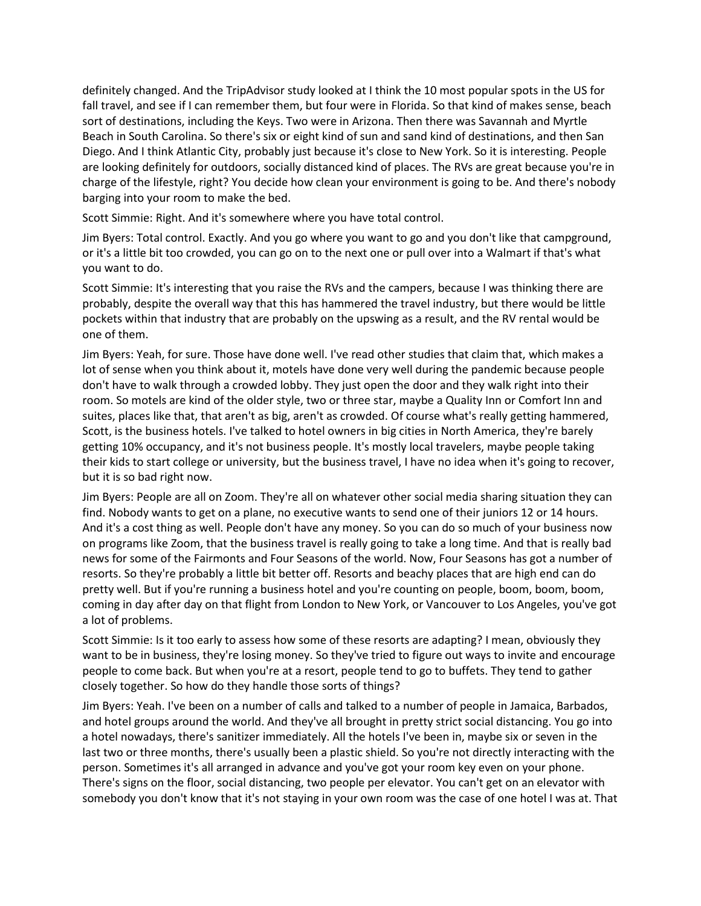Beach in South Carolina. So there's six or eight kind of sun and sand kind of destinations, and then San barging into your room to make the bed. definitely changed. And the TripAdvisor study looked at I think the 10 most popular spots in the US for fall travel, and see if I can remember them, but four were in Florida. So that kind of makes sense, beach sort of destinations, including the Keys. Two were in Arizona. Then there was Savannah and Myrtle Diego. And I think Atlantic City, probably just because it's close to New York. So it is interesting. People are looking definitely for outdoors, socially distanced kind of places. The RVs are great because you're in charge of the lifestyle, right? You decide how clean your environment is going to be. And there's nobody

Scott Simmie: Right. And it's somewhere where you have total control.

 Jim Byers: Total control. Exactly. And you go where you want to go and you don't like that campground, or it's a little bit too crowded, you can go on to the next one or pull over into a Walmart if that's what you want to do.

Scott Simmie: It's interesting that you raise the RVs and the campers, because I was thinking there are probably, despite the overall way that this has hammered the travel industry, but there would be little pockets within that industry that are probably on the upswing as a result, and the RV rental would be one of them.

Jim Byers: Yeah, for sure. Those have done well. I've read other studies that claim that, which makes a lot of sense when you think about it, motels have done very well during the pandemic because people don't have to walk through a crowded lobby. They just open the door and they walk right into their room. So motels are kind of the older style, two or three star, maybe a Quality Inn or Comfort Inn and suites, places like that, that aren't as big, aren't as crowded. Of course what's really getting hammered, Scott, is the business hotels. I've talked to hotel owners in big cities in North America, they're barely getting 10% occupancy, and it's not business people. It's mostly local travelers, maybe people taking their kids to start college or university, but the business travel, I have no idea when it's going to recover, but it is so bad right now.

 Jim Byers: People are all on Zoom. They're all on whatever other social media sharing situation they can coming in day after day on that flight from London to New York, or Vancouver to Los Angeles, you've got find. Nobody wants to get on a plane, no executive wants to send one of their juniors 12 or 14 hours. And it's a cost thing as well. People don't have any money. So you can do so much of your business now on programs like Zoom, that the business travel is really going to take a long time. And that is really bad news for some of the Fairmonts and Four Seasons of the world. Now, Four Seasons has got a number of resorts. So they're probably a little bit better off. Resorts and beachy places that are high end can do pretty well. But if you're running a business hotel and you're counting on people, boom, boom, boom, a lot of problems.

Scott Simmie: Is it too early to assess how some of these resorts are adapting? I mean, obviously they want to be in business, they're losing money. So they've tried to figure out ways to invite and encourage people to come back. But when you're at a resort, people tend to go to buffets. They tend to gather closely together. So how do they handle those sorts of things?

Jim Byers: Yeah. I've been on a number of calls and talked to a number of people in Jamaica, Barbados, and hotel groups around the world. And they've all brought in pretty strict social distancing. You go into a hotel nowadays, there's sanitizer immediately. All the hotels I've been in, maybe six or seven in the last two or three months, there's usually been a plastic shield. So you're not directly interacting with the person. Sometimes it's all arranged in advance and you've got your room key even on your phone. There's signs on the floor, social distancing, two people per elevator. You can't get on an elevator with somebody you don't know that it's not staying in your own room was the case of one hotel I was at. That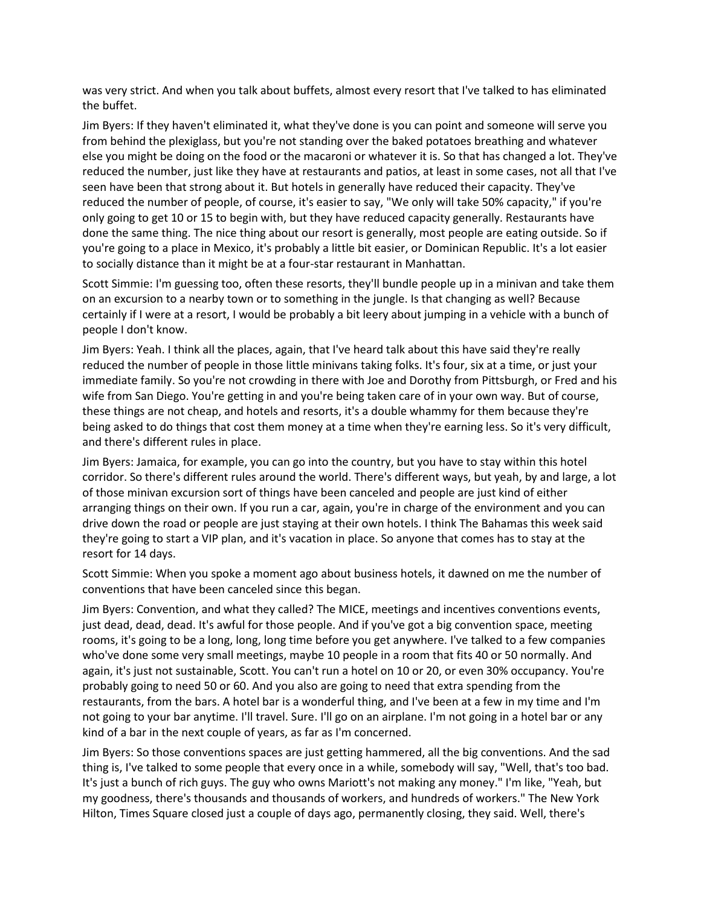was very strict. And when you talk about buffets, almost every resort that I've talked to has eliminated the buffet.

 only going to get 10 or 15 to begin with, but they have reduced capacity generally. Restaurants have Jim Byers: If they haven't eliminated it, what they've done is you can point and someone will serve you from behind the plexiglass, but you're not standing over the baked potatoes breathing and whatever else you might be doing on the food or the macaroni or whatever it is. So that has changed a lot. They've reduced the number, just like they have at restaurants and patios, at least in some cases, not all that I've seen have been that strong about it. But hotels in generally have reduced their capacity. They've reduced the number of people, of course, it's easier to say, "We only will take 50% capacity," if you're done the same thing. The nice thing about our resort is generally, most people are eating outside. So if you're going to a place in Mexico, it's probably a little bit easier, or Dominican Republic. It's a lot easier to socially distance than it might be at a four-star restaurant in Manhattan.

 Scott Simmie: I'm guessing too, often these resorts, they'll bundle people up in a minivan and take them certainly if I were at a resort, I would be probably a bit leery about jumping in a vehicle with a bunch of on an excursion to a nearby town or to something in the jungle. Is that changing as well? Because people I don't know.

Jim Byers: Yeah. I think all the places, again, that I've heard talk about this have said they're really reduced the number of people in those little minivans taking folks. It's four, six at a time, or just your immediate family. So you're not crowding in there with Joe and Dorothy from Pittsburgh, or Fred and his wife from San Diego. You're getting in and you're being taken care of in your own way. But of course, these things are not cheap, and hotels and resorts, it's a double whammy for them because they're being asked to do things that cost them money at a time when they're earning less. So it's very difficult, and there's different rules in place.

 arranging things on their own. If you run a car, again, you're in charge of the environment and you can Jim Byers: Jamaica, for example, you can go into the country, but you have to stay within this hotel corridor. So there's different rules around the world. There's different ways, but yeah, by and large, a lot of those minivan excursion sort of things have been canceled and people are just kind of either drive down the road or people are just staying at their own hotels. I think The Bahamas this week said they're going to start a VIP plan, and it's vacation in place. So anyone that comes has to stay at the resort for 14 days.

Scott Simmie: When you spoke a moment ago about business hotels, it dawned on me the number of conventions that have been canceled since this began.

 who've done some very small meetings, maybe 10 people in a room that fits 40 or 50 normally. And probably going to need 50 or 60. And you also are going to need that extra spending from the restaurants, from the bars. A hotel bar is a wonderful thing, and I've been at a few in my time and I'm Jim Byers: Convention, and what they called? The MICE, meetings and incentives conventions events, just dead, dead, dead. It's awful for those people. And if you've got a big convention space, meeting rooms, it's going to be a long, long, long time before you get anywhere. I've talked to a few companies again, it's just not sustainable, Scott. You can't run a hotel on 10 or 20, or even 30% occupancy. You're not going to your bar anytime. I'll travel. Sure. I'll go on an airplane. I'm not going in a hotel bar or any kind of a bar in the next couple of years, as far as I'm concerned.

Jim Byers: So those conventions spaces are just getting hammered, all the big conventions. And the sad thing is, I've talked to some people that every once in a while, somebody will say, "Well, that's too bad. It's just a bunch of rich guys. The guy who owns Mariott's not making any money." I'm like, "Yeah, but my goodness, there's thousands and thousands of workers, and hundreds of workers." The New York Hilton, Times Square closed just a couple of days ago, permanently closing, they said. Well, there's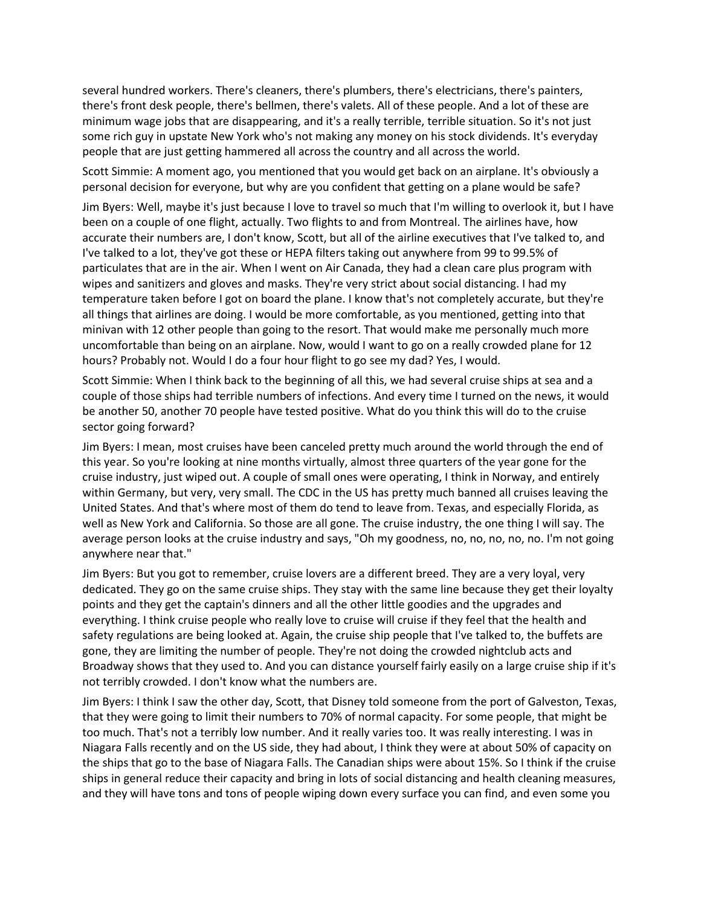some rich guy in upstate New York who's not making any money on his stock dividends. It's everyday several hundred workers. There's cleaners, there's plumbers, there's electricians, there's painters, there's front desk people, there's bellmen, there's valets. All of these people. And a lot of these are minimum wage jobs that are disappearing, and it's a really terrible, terrible situation. So it's not just people that are just getting hammered all across the country and all across the world.

Scott Simmie: A moment ago, you mentioned that you would get back on an airplane. It's obviously a personal decision for everyone, but why are you confident that getting on a plane would be safe?

 I've talked to a lot, they've got these or HEPA filters taking out anywhere from 99 to 99.5% of minivan with 12 other people than going to the resort. That would make me personally much more Jim Byers: Well, maybe it's just because I love to travel so much that I'm willing to overlook it, but I have been on a couple of one flight, actually. Two flights to and from Montreal. The airlines have, how accurate their numbers are, I don't know, Scott, but all of the airline executives that I've talked to, and particulates that are in the air. When I went on Air Canada, they had a clean care plus program with wipes and sanitizers and gloves and masks. They're very strict about social distancing. I had my temperature taken before I got on board the plane. I know that's not completely accurate, but they're all things that airlines are doing. I would be more comfortable, as you mentioned, getting into that uncomfortable than being on an airplane. Now, would I want to go on a really crowded plane for 12 hours? Probably not. Would I do a four hour flight to go see my dad? Yes, I would.

 be another 50, another 70 people have tested positive. What do you think this will do to the cruise Scott Simmie: When I think back to the beginning of all this, we had several cruise ships at sea and a couple of those ships had terrible numbers of infections. And every time I turned on the news, it would sector going forward?

Jim Byers: I mean, most cruises have been canceled pretty much around the world through the end of this year. So you're looking at nine months virtually, almost three quarters of the year gone for the cruise industry, just wiped out. A couple of small ones were operating, I think in Norway, and entirely within Germany, but very, very small. The CDC in the US has pretty much banned all cruises leaving the United States. And that's where most of them do tend to leave from. Texas, and especially Florida, as well as New York and California. So those are all gone. The cruise industry, the one thing I will say. The average person looks at the cruise industry and says, "Oh my goodness, no, no, no, no, no. I'm not going anywhere near that."

 dedicated. They go on the same cruise ships. They stay with the same line because they get their loyalty Jim Byers: But you got to remember, cruise lovers are a different breed. They are a very loyal, very points and they get the captain's dinners and all the other little goodies and the upgrades and everything. I think cruise people who really love to cruise will cruise if they feel that the health and safety regulations are being looked at. Again, the cruise ship people that I've talked to, the buffets are gone, they are limiting the number of people. They're not doing the crowded nightclub acts and Broadway shows that they used to. And you can distance yourself fairly easily on a large cruise ship if it's not terribly crowded. I don't know what the numbers are.

 Niagara Falls recently and on the US side, they had about, I think they were at about 50% of capacity on Jim Byers: I think I saw the other day, Scott, that Disney told someone from the port of Galveston, Texas, that they were going to limit their numbers to 70% of normal capacity. For some people, that might be too much. That's not a terribly low number. And it really varies too. It was really interesting. I was in the ships that go to the base of Niagara Falls. The Canadian ships were about 15%. So I think if the cruise ships in general reduce their capacity and bring in lots of social distancing and health cleaning measures, and they will have tons and tons of people wiping down every surface you can find, and even some you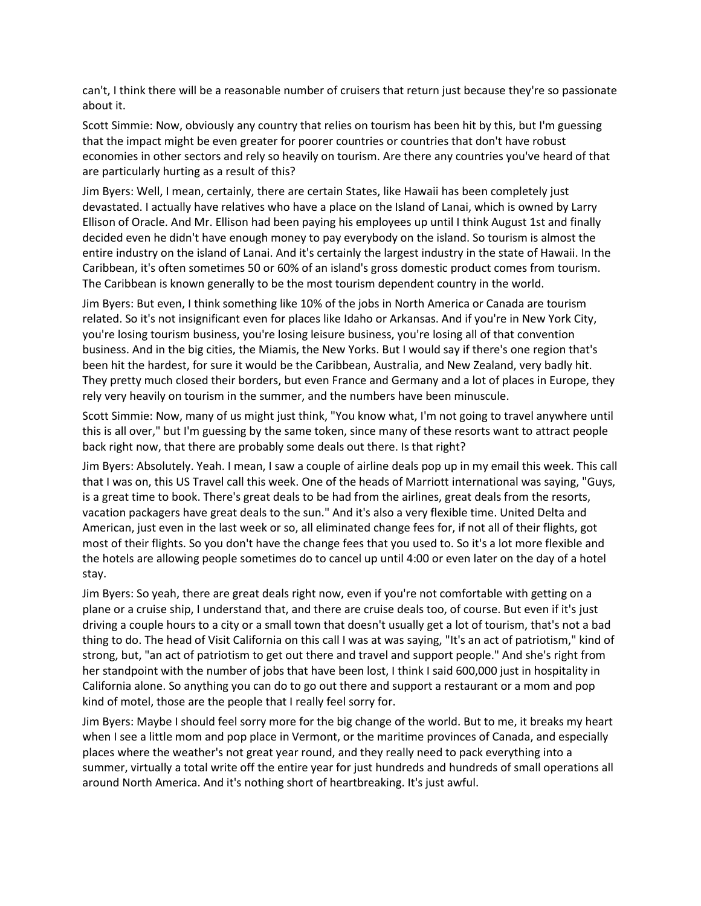can't, I think there will be a reasonable number of cruisers that return just because they're so passionate about it.

 economies in other sectors and rely so heavily on tourism. Are there any countries you've heard of that Scott Simmie: Now, obviously any country that relies on tourism has been hit by this, but I'm guessing that the impact might be even greater for poorer countries or countries that don't have robust are particularly hurting as a result of this?

Jim Byers: Well, I mean, certainly, there are certain States, like Hawaii has been completely just devastated. I actually have relatives who have a place on the Island of Lanai, which is owned by Larry Ellison of Oracle. And Mr. Ellison had been paying his employees up until I think August 1st and finally decided even he didn't have enough money to pay everybody on the island. So tourism is almost the entire industry on the island of Lanai. And it's certainly the largest industry in the state of Hawaii. In the Caribbean, it's often sometimes 50 or 60% of an island's gross domestic product comes from tourism. The Caribbean is known generally to be the most tourism dependent country in the world.

Jim Byers: But even, I think something like 10% of the jobs in North America or Canada are tourism related. So it's not insignificant even for places like Idaho or Arkansas. And if you're in New York City, you're losing tourism business, you're losing leisure business, you're losing all of that convention business. And in the big cities, the Miamis, the New Yorks. But I would say if there's one region that's been hit the hardest, for sure it would be the Caribbean, Australia, and New Zealand, very badly hit. They pretty much closed their borders, but even France and Germany and a lot of places in Europe, they rely very heavily on tourism in the summer, and the numbers have been minuscule.

 this is all over," but I'm guessing by the same token, since many of these resorts want to attract people Scott Simmie: Now, many of us might just think, "You know what, I'm not going to travel anywhere until back right now, that there are probably some deals out there. Is that right?

 vacation packagers have great deals to the sun." And it's also a very flexible time. United Delta and Jim Byers: Absolutely. Yeah. I mean, I saw a couple of airline deals pop up in my email this week. This call that I was on, this US Travel call this week. One of the heads of Marriott international was saying, "Guys, is a great time to book. There's great deals to be had from the airlines, great deals from the resorts, American, just even in the last week or so, all eliminated change fees for, if not all of their flights, got most of their flights. So you don't have the change fees that you used to. So it's a lot more flexible and the hotels are allowing people sometimes do to cancel up until 4:00 or even later on the day of a hotel stay.

Jim Byers: So yeah, there are great deals right now, even if you're not comfortable with getting on a plane or a cruise ship, I understand that, and there are cruise deals too, of course. But even if it's just driving a couple hours to a city or a small town that doesn't usually get a lot of tourism, that's not a bad thing to do. The head of Visit California on this call I was at was saying, "It's an act of patriotism," kind of strong, but, "an act of patriotism to get out there and travel and support people." And she's right from her standpoint with the number of jobs that have been lost, I think I said 600,000 just in hospitality in California alone. So anything you can do to go out there and support a restaurant or a mom and pop kind of motel, those are the people that I really feel sorry for.

Jim Byers: Maybe I should feel sorry more for the big change of the world. But to me, it breaks my heart when I see a little mom and pop place in Vermont, or the maritime provinces of Canada, and especially places where the weather's not great year round, and they really need to pack everything into a summer, virtually a total write off the entire year for just hundreds and hundreds of small operations all around North America. And it's nothing short of heartbreaking. It's just awful.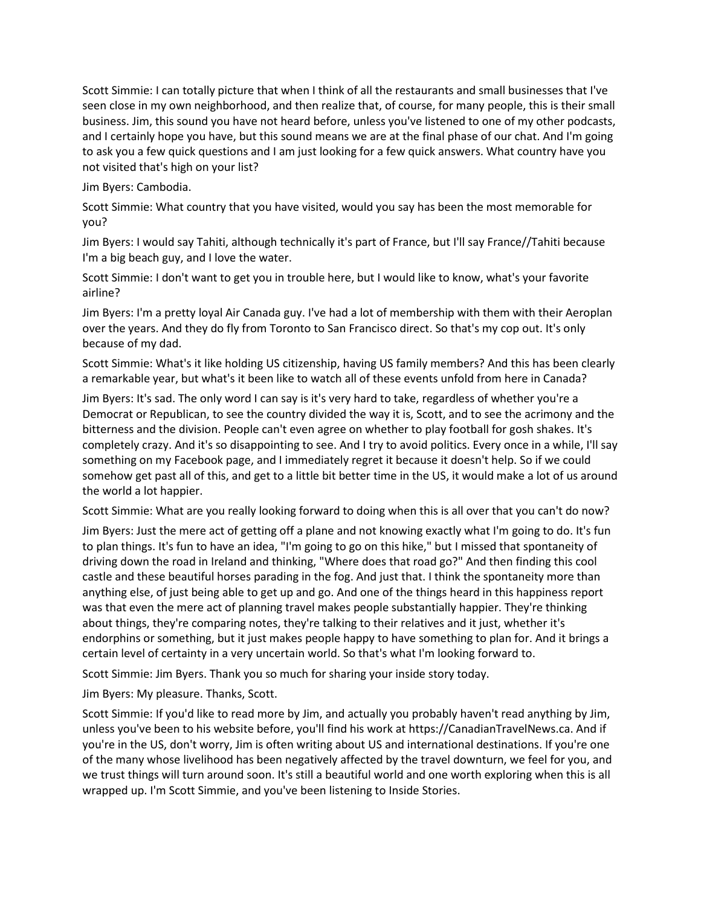business. Jim, this sound you have not heard before, unless you've listened to one of my other podcasts, Scott Simmie: I can totally picture that when I think of all the restaurants and small businesses that I've seen close in my own neighborhood, and then realize that, of course, for many people, this is their small and I certainly hope you have, but this sound means we are at the final phase of our chat. And I'm going to ask you a few quick questions and I am just looking for a few quick answers. What country have you not visited that's high on your list?

Jim Byers: Cambodia.

Scott Simmie: What country that you have visited, would you say has been the most memorable for you?

Jim Byers: I would say Tahiti, although technically it's part of France, but I'll say France//Tahiti because I'm a big beach guy, and I love the water.

Scott Simmie: I don't want to get you in trouble here, but I would like to know, what's your favorite airline?

 Jim Byers: I'm a pretty loyal Air Canada guy. I've had a lot of membership with them with their Aeroplan over the years. And they do fly from Toronto to San Francisco direct. So that's my cop out. It's only because of my dad.

Scott Simmie: What's it like holding US citizenship, having US family members? And this has been clearly a remarkable year, but what's it been like to watch all of these events unfold from here in Canada?

 something on my Facebook page, and I immediately regret it because it doesn't help. So if we could Jim Byers: It's sad. The only word I can say is it's very hard to take, regardless of whether you're a Democrat or Republican, to see the country divided the way it is, Scott, and to see the acrimony and the bitterness and the division. People can't even agree on whether to play football for gosh shakes. It's completely crazy. And it's so disappointing to see. And I try to avoid politics. Every once in a while, I'll say somehow get past all of this, and get to a little bit better time in the US, it would make a lot of us around the world a lot happier.

Scott Simmie: What are you really looking forward to doing when this is all over that you can't do now?

 Jim Byers: Just the mere act of getting off a plane and not knowing exactly what I'm going to do. It's fun castle and these beautiful horses parading in the fog. And just that. I think the spontaneity more than about things, they're comparing notes, they're talking to their relatives and it just, whether it's to plan things. It's fun to have an idea, "I'm going to go on this hike," but I missed that spontaneity of driving down the road in Ireland and thinking, "Where does that road go?" And then finding this cool anything else, of just being able to get up and go. And one of the things heard in this happiness report was that even the mere act of planning travel makes people substantially happier. They're thinking endorphins or something, but it just makes people happy to have something to plan for. And it brings a certain level of certainty in a very uncertain world. So that's what I'm looking forward to.

Scott Simmie: Jim Byers. Thank you so much for sharing your inside story today.

Jim Byers: My pleasure. Thanks, Scott.

 of the many whose livelihood has been negatively affected by the travel downturn, we feel for you, and Scott Simmie: If you'd like to read more by Jim, and actually you probably haven't read anything by Jim, unless you've been to his website before, you'll find his work at<https://CanadianTravelNews.ca>. And if you're in the US, don't worry, Jim is often writing about US and international destinations. If you're one we trust things will turn around soon. It's still a beautiful world and one worth exploring when this is all wrapped up. I'm Scott Simmie, and you've been listening to Inside Stories.